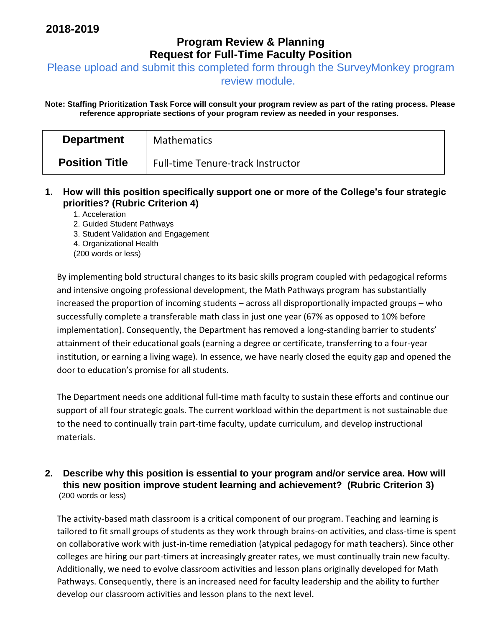## **Program Review & Planning Request for Full-Time Faculty Position**

Please upload and submit this completed form through the SurveyMonkey program

review module.

**Note: Staffing Prioritization Task Force will consult your program review as part of the rating process. Please reference appropriate sections of your program review as needed in your responses.** 

| <b>Department</b>     | <b>Mathematics</b>                       |
|-----------------------|------------------------------------------|
| <b>Position Title</b> | <b>Full-time Tenure-track Instructor</b> |

- **1. How will this position specifically support one or more of the College's four strategic priorities? (Rubric Criterion 4)** 
	- 1. Acceleration
	- 2. Guided Student Pathways
	- 3. Student Validation and Engagement
	- 4. Organizational Health
	- (200 words or less)

By implementing bold structural changes to its basic skills program coupled with pedagogical reforms and intensive ongoing professional development, the Math Pathways program has substantially increased the proportion of incoming students – across all disproportionally impacted groups – who successfully complete a transferable math class in just one year (67% as opposed to 10% before implementation). Consequently, the Department has removed a long-standing barrier to students' attainment of their educational goals (earning a degree or certificate, transferring to a four-year institution, or earning a living wage). In essence, we have nearly closed the equity gap and opened the door to education's promise for all students.

The Department needs one additional full-time math faculty to sustain these efforts and continue our support of all four strategic goals. The current workload within the department is not sustainable due to the need to continually train part-time faculty, update curriculum, and develop instructional materials.

## **2. Describe why this position is essential to your program and/or service area. How will this new position improve student learning and achievement? (Rubric Criterion 3)**  (200 words or less)

The activity-based math classroom is a critical component of our program. Teaching and learning is tailored to fit small groups of students as they work through brains-on activities, and class-time is spent on collaborative work with just-in-time remediation (atypical pedagogy for math teachers). Since other colleges are hiring our part-timers at increasingly greater rates, we must continually train new faculty. Additionally, we need to evolve classroom activities and lesson plans originally developed for Math Pathways. Consequently, there is an increased need for faculty leadership and the ability to further develop our classroom activities and lesson plans to the next level.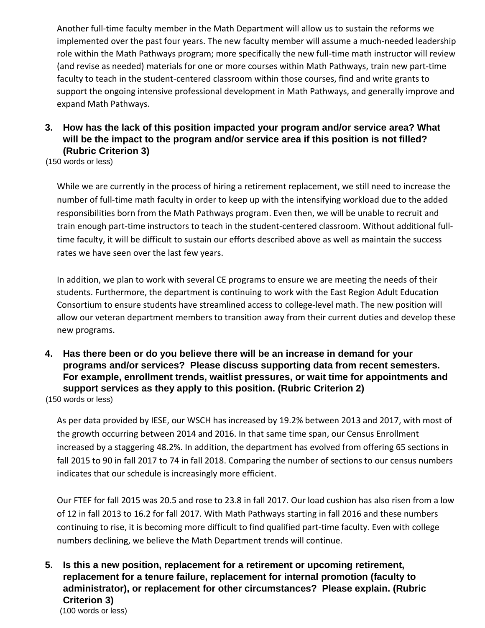Another full-time faculty member in the Math Department will allow us to sustain the reforms we implemented over the past four years. The new faculty member will assume a much-needed leadership role within the Math Pathways program; more specifically the new full-time math instructor will review (and revise as needed) materials for one or more courses within Math Pathways, train new part-time faculty to teach in the student-centered classroom within those courses, find and write grants to support the ongoing intensive professional development in Math Pathways, and generally improve and expand Math Pathways.

## **3. How has the lack of this position impacted your program and/or service area? What will be the impact to the program and/or service area if this position is not filled? (Rubric Criterion 3)**

(150 words or less)

While we are currently in the process of hiring a retirement replacement, we still need to increase the number of full-time math faculty in order to keep up with the intensifying workload due to the added responsibilities born from the Math Pathways program. Even then, we will be unable to recruit and train enough part-time instructors to teach in the student-centered classroom. Without additional fulltime faculty, it will be difficult to sustain our efforts described above as well as maintain the success rates we have seen over the last few years.

In addition, we plan to work with several CE programs to ensure we are meeting the needs of their students. Furthermore, the department is continuing to work with the East Region Adult Education Consortium to ensure students have streamlined access to college-level math. The new position will allow our veteran department members to transition away from their current duties and develop these new programs.

**4. Has there been or do you believe there will be an increase in demand for your programs and/or services? Please discuss supporting data from recent semesters. For example, enrollment trends, waitlist pressures, or wait time for appointments and support services as they apply to this position. (Rubric Criterion 2)** 

(150 words or less)

As per data provided by IESE, our WSCH has increased by 19.2% between 2013 and 2017, with most of the growth occurring between 2014 and 2016. In that same time span, our Census Enrollment increased by a staggering 48.2%. In addition, the department has evolved from offering 65 sections in fall 2015 to 90 in fall 2017 to 74 in fall 2018. Comparing the number of sections to our census numbers indicates that our schedule is increasingly more efficient.

Our FTEF for fall 2015 was 20.5 and rose to 23.8 in fall 2017. Our load cushion has also risen from a low of 12 in fall 2013 to 16.2 for fall 2017. With Math Pathways starting in fall 2016 and these numbers continuing to rise, it is becoming more difficult to find qualified part-time faculty. Even with college numbers declining, we believe the Math Department trends will continue.

**5. Is this a new position, replacement for a retirement or upcoming retirement, replacement for a tenure failure, replacement for internal promotion (faculty to administrator), or replacement for other circumstances? Please explain. (Rubric Criterion 3)**  (100 words or less)